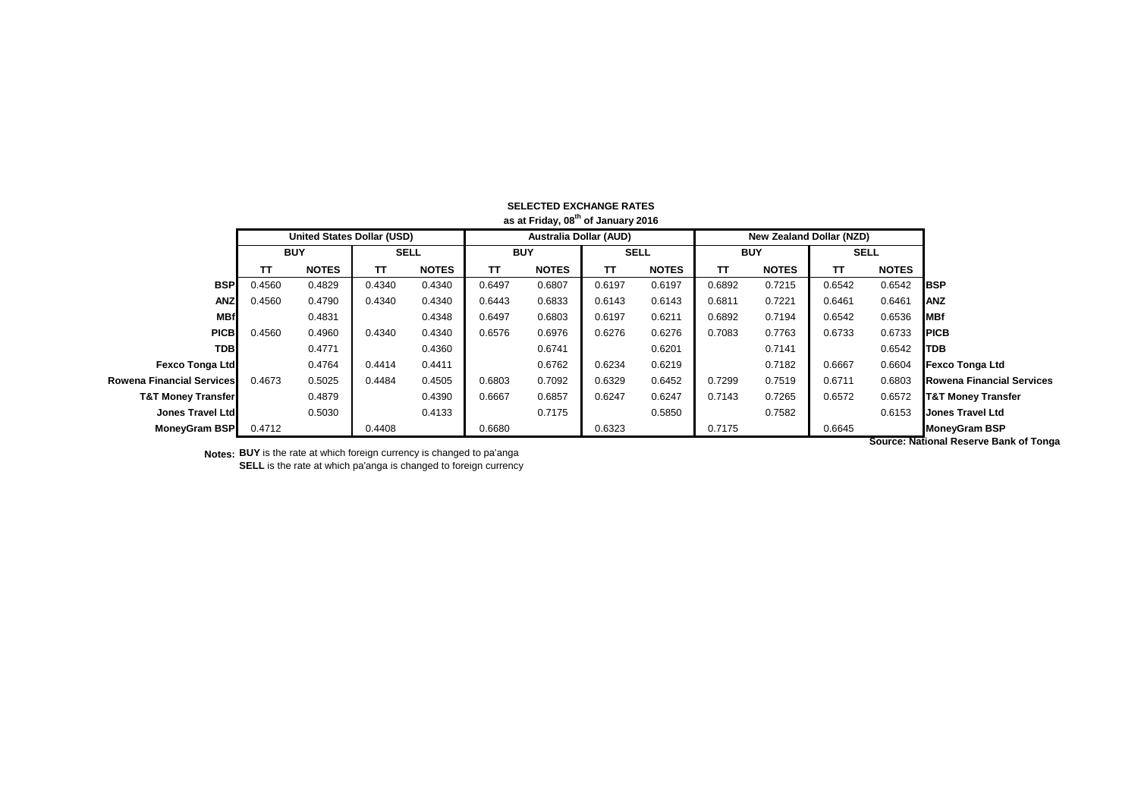|                               | <b>United States Dollar (USD)</b> |              |             |              | <b>Australia Dollar (AUD)</b> |              |             |              |            | <b>New Zealand Dollar (NZD)</b> |             |              |                                  |
|-------------------------------|-----------------------------------|--------------|-------------|--------------|-------------------------------|--------------|-------------|--------------|------------|---------------------------------|-------------|--------------|----------------------------------|
|                               | <b>BUY</b>                        |              | <b>SELL</b> |              | <b>BUY</b>                    |              | <b>SELL</b> |              | <b>BUY</b> |                                 | <b>SELL</b> |              |                                  |
|                               | тτ                                | <b>NOTES</b> | π           | <b>NOTES</b> | TΤ                            | <b>NOTES</b> | TΤ          | <b>NOTES</b> | TΤ         | <b>NOTES</b>                    | TΤ          | <b>NOTES</b> |                                  |
| <b>BSP</b>                    | 0.4560                            | 0.4829       | 0.4340      | 0.4340       | 0.6497                        | 0.6807       | 0.6197      | 0.6197       | 0.6892     | 0.7215                          | 0.6542      | 0.6542       | <b>IBSP</b>                      |
| <b>ANZ</b>                    | 0.4560                            | 0.4790       | 0.4340      | 0.4340       | 0.6443                        | 0.6833       | 0.6143      | 0.6143       | 0.6811     | 0.7221                          | 0.6461      | 0.6461       | <b>ANZ</b>                       |
| <b>MBf</b>                    |                                   | 0.4831       |             | 0.4348       | 0.6497                        | 0.6803       | 0.6197      | 0.6211       | 0.6892     | 0.7194                          | 0.6542      | 0.6536       | MBf                              |
| <b>PICB</b>                   | 0.4560                            | 0.4960       | 0.4340      | 0.4340       | 0.6576                        | 0.6976       | 0.6276      | 0.6276       | 0.7083     | 0.7763                          | 0.6733      | 0.6733       | <b>PICB</b>                      |
| <b>TDBI</b>                   |                                   | 0.4771       |             | 0.4360       |                               | 0.6741       |             | 0.6201       |            | 0.7141                          |             | 0.6542       | <b>TDB</b>                       |
| <b>Fexco Tonga Ltd</b>        |                                   | 0.4764       | 0.4414      | 0.4411       |                               | 0.6762       | 0.6234      | 0.6219       |            | 0.7182                          | 0.6667      | 0.6604       | <b>Fexco Tonga Ltd</b>           |
| Rowena Financial Services     | 0.4673                            | 0.5025       | 0.4484      | 0.4505       | 0.6803                        | 0.7092       | 0.6329      | 0.6452       | 0.7299     | 0.7519                          | 0.6711      | 0.6803       | <b>Rowena Financial Services</b> |
| <b>T&amp;T Money Transfer</b> |                                   | 0.4879       |             | 0.4390       | 0.6667                        | 0.6857       | 0.6247      | 0.6247       | 0.7143     | 0.7265                          | 0.6572      | 0.6572       | <b>T&amp;T Money Transfer</b>    |
| Jones Travel Ltd              |                                   | 0.5030       |             | 0.4133       |                               | 0.7175       |             | 0.5850       |            | 0.7582                          |             | 0.6153       | <b>Jones Travel Ltd</b>          |
| MoneyGram BSP                 | 0.4712                            |              | 0.4408      |              | 0.6680                        |              | 0.6323      |              | 0.7175     |                                 | 0.6645      |              | <b>MoneyGram BSP</b>             |

## **SELECTED EXCHANGE RATES as at Friday, 08th of January 2016**

**Notes: BUY** is the rate at which foreign currency is changed to pa'anga **SELL** is the rate at which pa'anga is changed to foreign currency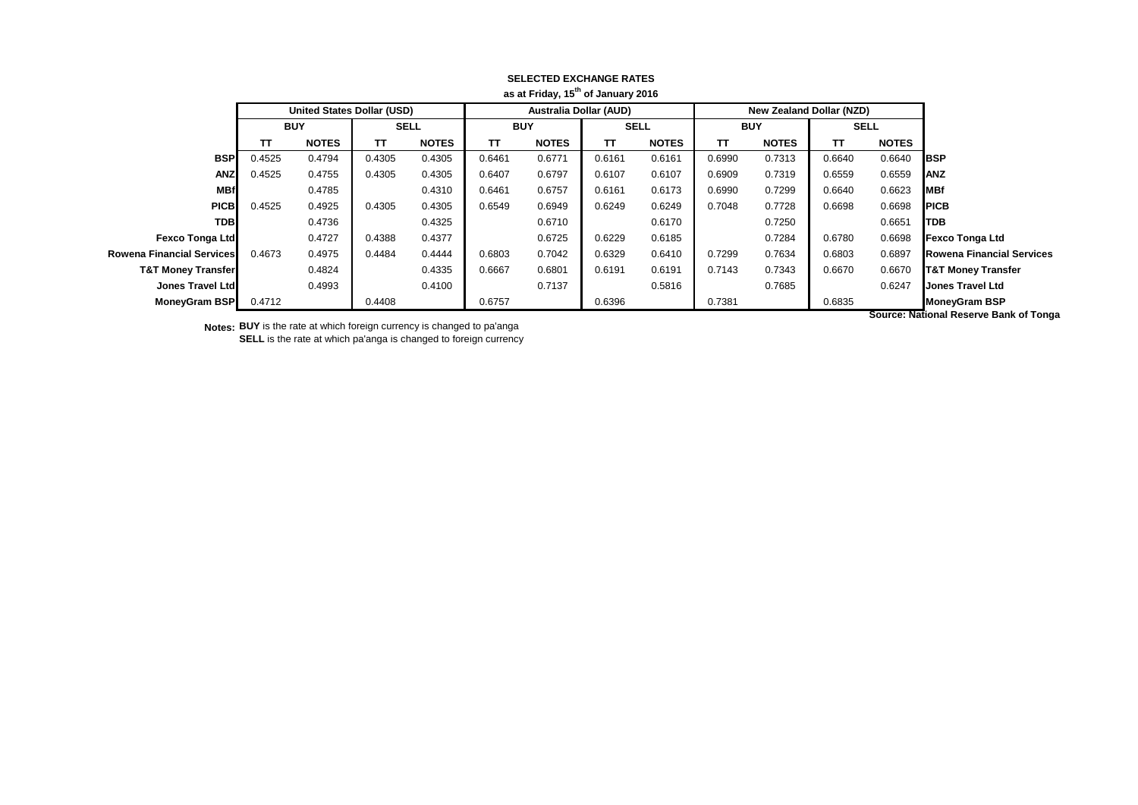| ao at : : : au y; : o o : o an au y zo : o |                                   |              |             |              |                               |              |             |              |            |                                 |             |              |                                                                                                                                                                                                                                |
|--------------------------------------------|-----------------------------------|--------------|-------------|--------------|-------------------------------|--------------|-------------|--------------|------------|---------------------------------|-------------|--------------|--------------------------------------------------------------------------------------------------------------------------------------------------------------------------------------------------------------------------------|
|                                            | <b>United States Dollar (USD)</b> |              |             |              | <b>Australia Dollar (AUD)</b> |              |             |              |            | <b>New Zealand Dollar (NZD)</b> |             |              |                                                                                                                                                                                                                                |
|                                            | <b>BUY</b>                        |              | <b>SELL</b> |              | <b>BUY</b>                    |              | <b>SELL</b> |              | <b>BUY</b> |                                 | <b>SELL</b> |              |                                                                                                                                                                                                                                |
|                                            | тτ                                | <b>NOTES</b> | тτ          | <b>NOTES</b> | тт                            | <b>NOTES</b> | TT          | <b>NOTES</b> | TΤ         | <b>NOTES</b>                    | π           | <b>NOTES</b> |                                                                                                                                                                                                                                |
| <b>BSP</b>                                 | 0.4525                            | 0.4794       | 0.4305      | 0.4305       | 0.6461                        | 0.6771       | 0.6161      | 0.6161       | 0.6990     | 0.7313                          | 0.6640      | 0.6640       | <b>IBSP</b>                                                                                                                                                                                                                    |
| <b>ANZ</b>                                 | 0.4525                            | 0.4755       | 0.4305      | 0.4305       | 0.6407                        | 0.6797       | 0.6107      | 0.6107       | 0.6909     | 0.7319                          | 0.6559      | 0.6559       | <b>ANZ</b>                                                                                                                                                                                                                     |
| <b>MBf</b>                                 |                                   | 0.4785       |             | 0.4310       | 0.6461                        | 0.6757       | 0.6161      | 0.6173       | 0.6990     | 0.7299                          | 0.6640      | 0.6623       | <b>MBf</b>                                                                                                                                                                                                                     |
| <b>PICB</b>                                | 0.4525                            | 0.4925       | 0.4305      | 0.4305       | 0.6549                        | 0.6949       | 0.6249      | 0.6249       | 0.7048     | 0.7728                          | 0.6698      | 0.6698       | <b>PICB</b>                                                                                                                                                                                                                    |
| <b>TDB</b>                                 |                                   | 0.4736       |             | 0.4325       |                               | 0.6710       |             | 0.6170       |            | 0.7250                          |             | 0.6651       | <b>TDB</b>                                                                                                                                                                                                                     |
| <b>Fexco Tonga Ltd</b>                     |                                   | 0.4727       | 0.4388      | 0.4377       |                               | 0.6725       | 0.6229      | 0.6185       |            | 0.7284                          | 0.6780      | 0.6698       | <b>Fexco Tonga Ltd</b>                                                                                                                                                                                                         |
| Rowena Financial Servicesl                 | 0.4673                            | 0.4975       | 0.4484      | 0.4444       | 0.6803                        | 0.7042       | 0.6329      | 0.6410       | 0.7299     | 0.7634                          | 0.6803      | 0.6897       | <b>Rowena Financial Services</b>                                                                                                                                                                                               |
| <b>T&amp;T Money Transfer</b>              |                                   | 0.4824       |             | 0.4335       | 0.6667                        | 0.6801       | 0.6191      | 0.6191       | 0.7143     | 0.7343                          | 0.6670      | 0.6670       | <b>T&amp;T Money Transfer</b>                                                                                                                                                                                                  |
| Jones Travel Ltd                           |                                   | 0.4993       |             | 0.4100       |                               | 0.7137       |             | 0.5816       |            | 0.7685                          |             | 0.6247       | <b>Jones Travel Ltd</b>                                                                                                                                                                                                        |
| <b>MoneyGram BSP</b>                       | 0.4712                            |              | 0.4408      |              | 0.6757                        |              | 0.6396      |              | 0.7381     |                                 | 0.6835      |              | <b>MoneyGram BSP</b>                                                                                                                                                                                                           |
|                                            |                                   |              |             |              |                               |              |             |              |            |                                 |             |              | According the Country of the Country of The Country of The Country of The Country of The Country of The Country of The Country of The Country of The Country of The Country of The Country of The Country of The Country of Th |

## **SELECTED EXCHANGE RATES as at Friday, 15th of January 2016**

**Notes: BUY** is the rate at which foreign currency is changed to pa'anga **SELL** is the rate at which pa'anga is changed to foreign currency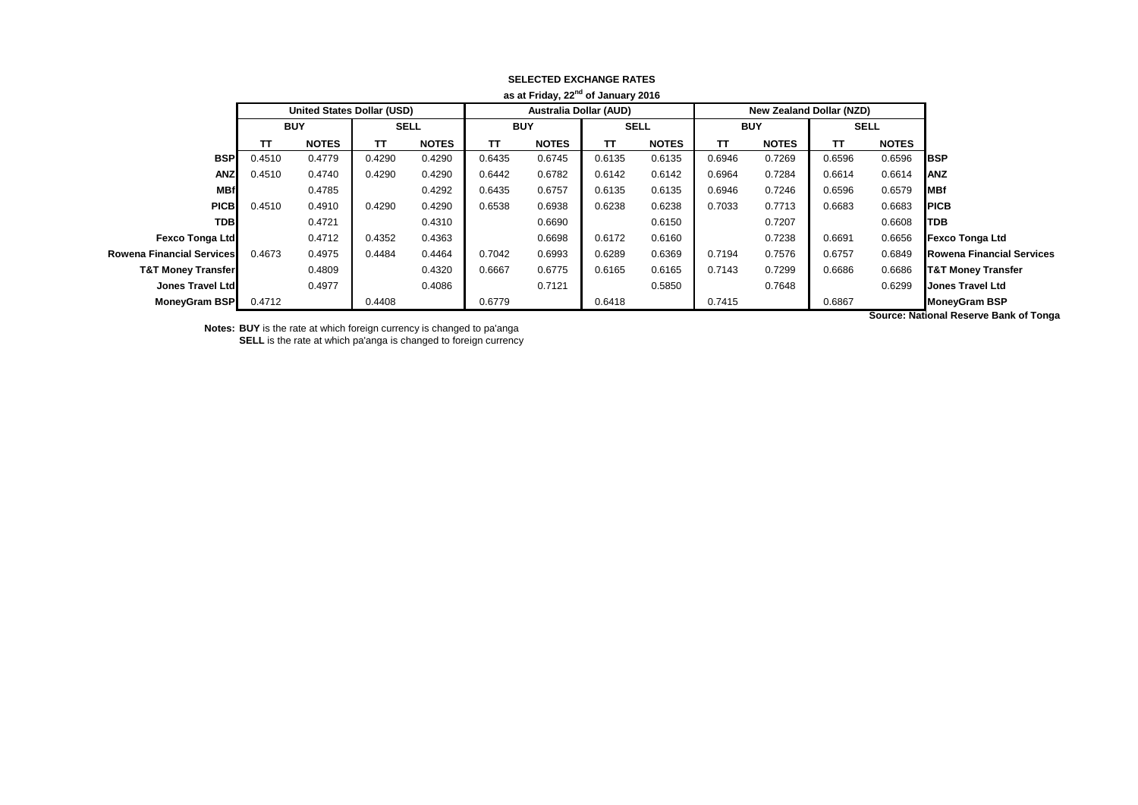|                                  |                                   |              |             |              |                               | as at Friday, 22 <sup>11</sup> of January 2016 |             |              |            |                          |             |              |                                  |
|----------------------------------|-----------------------------------|--------------|-------------|--------------|-------------------------------|------------------------------------------------|-------------|--------------|------------|--------------------------|-------------|--------------|----------------------------------|
|                                  | <b>United States Dollar (USD)</b> |              |             |              | <b>Australia Dollar (AUD)</b> |                                                |             |              |            | New Zealand Dollar (NZD) |             |              |                                  |
|                                  | <b>BUY</b>                        |              | <b>SELL</b> |              | <b>BUY</b>                    |                                                | <b>SELL</b> |              | <b>BUY</b> |                          | <b>SELL</b> |              |                                  |
|                                  | TΤ                                | <b>NOTES</b> | тт          | <b>NOTES</b> | ТΤ                            | <b>NOTES</b>                                   | TT          | <b>NOTES</b> | TΤ         | <b>NOTES</b>             | TΤ          | <b>NOTES</b> |                                  |
| <b>BSP</b>                       | 0.4510                            | 0.4779       | 0.4290      | 0.4290       | 0.6435                        | 0.6745                                         | 0.6135      | 0.6135       | 0.6946     | 0.7269                   | 0.6596      | 0.6596       | <b>IBSP</b>                      |
| <b>ANZ</b>                       | 0.4510                            | 0.4740       | 0.4290      | 0.4290       | 0.6442                        | 0.6782                                         | 0.6142      | 0.6142       | 0.6964     | 0.7284                   | 0.6614      | 0.6614       | <b>ANZ</b>                       |
| <b>MBf</b>                       |                                   | 0.4785       |             | 0.4292       | 0.6435                        | 0.6757                                         | 0.6135      | 0.6135       | 0.6946     | 0.7246                   | 0.6596      | 0.6579       | <b>MBf</b>                       |
| <b>PICB</b>                      | 0.4510                            | 0.4910       | 0.4290      | 0.4290       | 0.6538                        | 0.6938                                         | 0.6238      | 0.6238       | 0.7033     | 0.7713                   | 0.6683      | 0.6683       | <b>PICB</b>                      |
| <b>TDB</b>                       |                                   | 0.4721       |             | 0.4310       |                               | 0.6690                                         |             | 0.6150       |            | 0.7207                   |             | 0.6608       | <b>TDB</b>                       |
| <b>Fexco Tonga Ltd</b>           |                                   | 0.4712       | 0.4352      | 0.4363       |                               | 0.6698                                         | 0.6172      | 0.6160       |            | 0.7238                   | 0.6691      | 0.6656       | <b>Fexco Tonga Ltd</b>           |
| <b>Rowena Financial Services</b> | 0.4673                            | 0.4975       | 0.4484      | 0.4464       | 0.7042                        | 0.6993                                         | 0.6289      | 0.6369       | 0.7194     | 0.7576                   | 0.6757      | 0.6849       | <b>Rowena Financial Services</b> |
| <b>T&amp;T Money Transfer</b>    |                                   | 0.4809       |             | 0.4320       | 0.6667                        | 0.6775                                         | 0.6165      | 0.6165       | 0.7143     | 0.7299                   | 0.6686      | 0.6686       | <b>T&amp;T Money Transfer</b>    |
| Jones Travel Ltd                 |                                   | 0.4977       |             | 0.4086       |                               | 0.7121                                         |             | 0.5850       |            | 0.7648                   |             | 0.6299       | <b>Jones Travel Ltd</b>          |
| <b>MoneyGram BSP</b>             | 0.4712                            |              | 0.4408      |              | 0.6779                        |                                                | 0.6418      |              | 0.7415     |                          | 0.6867      |              | <b>MoneyGram BSP</b>             |
|                                  |                                   |              |             |              |                               |                                                |             |              |            |                          |             |              |                                  |

## **SELECTED EXCHANGE RATES as at Friday, 22nd of January 2016**

**Notes: BUY** is the rate at which foreign currency is changed to pa'anga **SELL** is the rate at which pa'anga is changed to foreign currency